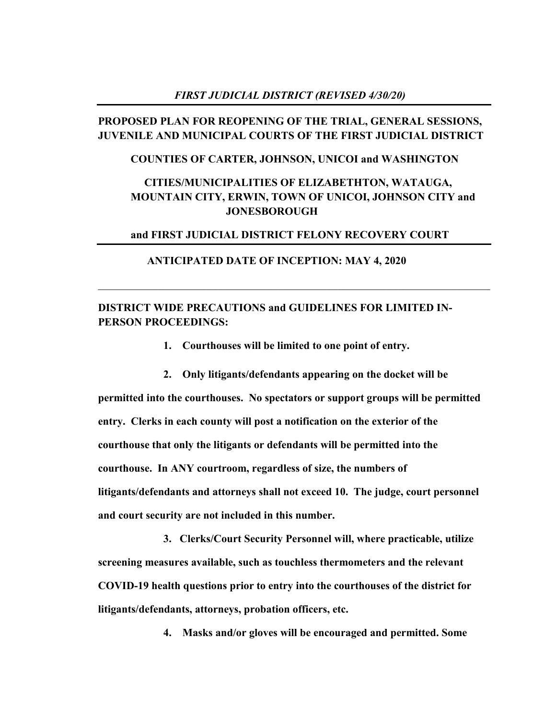## *FIRST JUDICIAL DISTRICT (REVISED 4/30/20)*

# **PROPOSED PLAN FOR REOPENING OF THE TRIAL, GENERAL SESSIONS, JUVENILE AND MUNICIPAL COURTS OF THE FIRST JUDICIAL DISTRICT**

## **COUNTIES OF CARTER, JOHNSON, UNICOI and WASHINGTON**

# **CITIES/MUNICIPALITIES OF ELIZABETHTON, WATAUGA, MOUNTAIN CITY, ERWIN, TOWN OF UNICOI, JOHNSON CITY and JONESBOROUGH**

## **and FIRST JUDICIAL DISTRICT FELONY RECOVERY COURT**

 $\mathcal{L}_\text{G}$  , and the contribution of the contribution of the contribution of the contribution of the contribution of the contribution of the contribution of the contribution of the contribution of the contribution of t

### **ANTICIPATED DATE OF INCEPTION: MAY 4, 2020**

# **DISTRICT WIDE PRECAUTIONS and GUIDELINES FOR LIMITED IN-PERSON PROCEEDINGS:**

**1. Courthouses will be limited to one point of entry.**

**2. Only litigants/defendants appearing on the docket will be permitted into the courthouses. No spectators or support groups will be permitted entry. Clerks in each county will post a notification on the exterior of the courthouse that only the litigants or defendants will be permitted into the courthouse. In ANY courtroom, regardless of size, the numbers of litigants/defendants and attorneys shall not exceed 10. The judge, court personnel and court security are not included in this number.**

**3. Clerks/Court Security Personnel will, where practicable, utilize screening measures available, such as touchless thermometers and the relevant COVID-19 health questions prior to entry into the courthouses of the district for litigants/defendants, attorneys, probation officers, etc.**

**4. Masks and/or gloves will be encouraged and permitted. Some**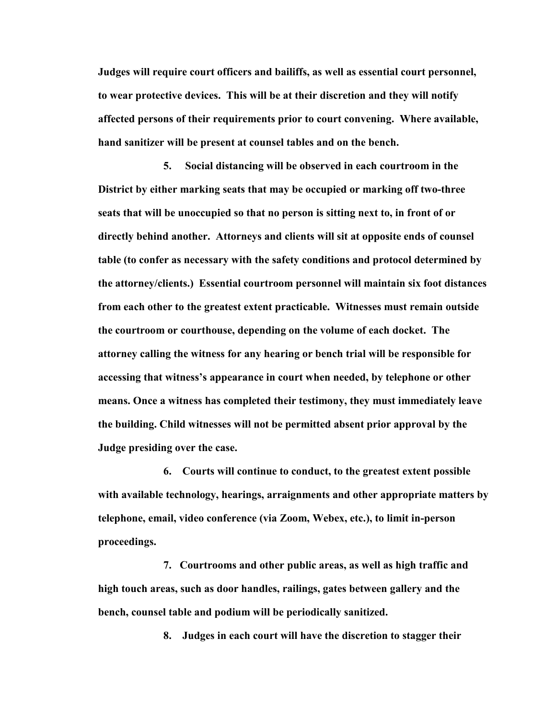**Judges will require court officers and bailiffs, as well as essential court personnel, to wear protective devices. This will be at their discretion and they will notify affected persons of their requirements prior to court convening. Where available, hand sanitizer will be present at counsel tables and on the bench.**

**5. Social distancing will be observed in each courtroom in the District by either marking seats that may be occupied or marking off two-three seats that will be unoccupied so that no person is sitting next to, in front of or directly behind another. Attorneys and clients will sit at opposite ends of counsel table (to confer as necessary with the safety conditions and protocol determined by the attorney/clients.) Essential courtroom personnel will maintain six foot distances from each other to the greatest extent practicable. Witnesses must remain outside the courtroom or courthouse, depending on the volume of each docket. The attorney calling the witness for any hearing or bench trial will be responsible for accessing that witness's appearance in court when needed, by telephone or other means. Once a witness has completed their testimony, they must immediately leave the building. Child witnesses will not be permitted absent prior approval by the Judge presiding over the case.**

**6. Courts will continue to conduct, to the greatest extent possible with available technology, hearings, arraignments and other appropriate matters by telephone, email, video conference (via Zoom, Webex, etc.), to limit in-person proceedings.**

**7. Courtrooms and other public areas, as well as high traffic and high touch areas, such as door handles, railings, gates between gallery and the bench, counsel table and podium will be periodically sanitized.**

**8. Judges in each court will have the discretion to stagger their**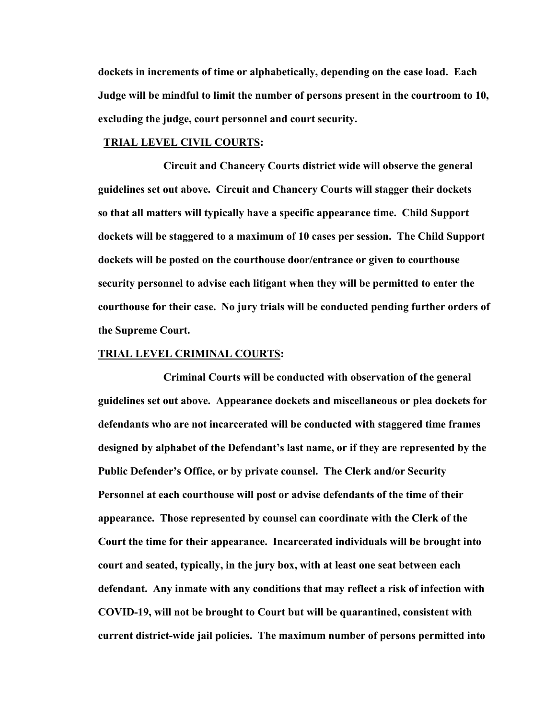**dockets in increments of time or alphabetically, depending on the case load. Each Judge will be mindful to limit the number of persons present in the courtroom to 10, excluding the judge, court personnel and court security.**

## **TRIAL LEVEL CIVIL COURTS:**

**Circuit and Chancery Courts district wide will observe the general guidelines set out above. Circuit and Chancery Courts will stagger their dockets so that all matters will typically have a specific appearance time. Child Support dockets will be staggered to a maximum of 10 cases per session. The Child Support dockets will be posted on the courthouse door/entrance or given to courthouse security personnel to advise each litigant when they will be permitted to enter the courthouse for their case. No jury trials will be conducted pending further orders of the Supreme Court.**

### **TRIAL LEVEL CRIMINAL COURTS:**

**Criminal Courts will be conducted with observation of the general guidelines set out above. Appearance dockets and miscellaneous or plea dockets for defendants who are not incarcerated will be conducted with staggered time frames designed by alphabet of the Defendant's last name, or if they are represented by the Public Defender's Office, or by private counsel. The Clerk and/or Security Personnel at each courthouse will post or advise defendants of the time of their appearance. Those represented by counsel can coordinate with the Clerk of the Court the time for their appearance. Incarcerated individuals will be brought into court and seated, typically, in the jury box, with at least one seat between each defendant. Any inmate with any conditions that may reflect a risk of infection with COVID-19, will not be brought to Court but will be quarantined, consistent with current district-wide jail policies. The maximum number of persons permitted into**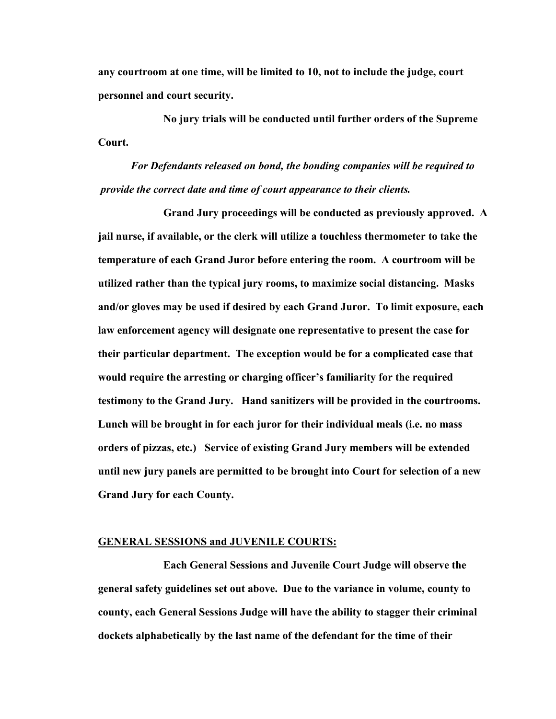**any courtroom at one time, will be limited to 10, not to include the judge, court personnel and court security.**

**No jury trials will be conducted until further orders of the Supreme Court.**

*For Defendants released on bond, the bonding companies will be required to provide the correct date and time of court appearance to their clients.*

**Grand Jury proceedings will be conducted as previously approved. A jail nurse, if available, or the clerk will utilize a touchless thermometer to take the temperature of each Grand Juror before entering the room. A courtroom will be utilized rather than the typical jury rooms, to maximize social distancing. Masks and/or gloves may be used if desired by each Grand Juror. To limit exposure, each law enforcement agency will designate one representative to present the case for their particular department. The exception would be for a complicated case that would require the arresting or charging officer's familiarity for the required testimony to the Grand Jury. Hand sanitizers will be provided in the courtrooms. Lunch will be brought in for each juror for their individual meals (i.e. no mass orders of pizzas, etc.) Service of existing Grand Jury members will be extended until new jury panels are permitted to be brought into Court for selection of a new Grand Jury for each County.**

#### **GENERAL SESSIONS and JUVENILE COURTS:**

**Each General Sessions and Juvenile Court Judge will observe the general safety guidelines set out above. Due to the variance in volume, county to county, each General Sessions Judge will have the ability to stagger their criminal dockets alphabetically by the last name of the defendant for the time of their**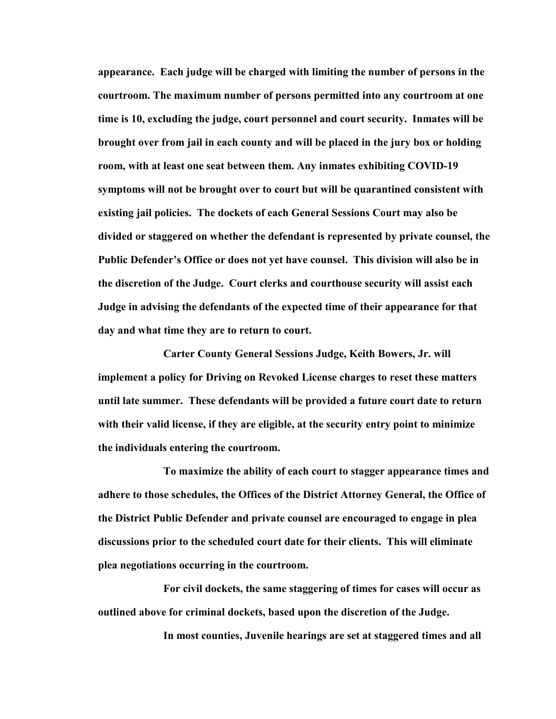**appearance. Each judge will be charged with limiting the number of persons in the courtroom. The maximum number of persons permitted into any courtroom at one time is 10, excluding the judge, court personnel and court security. Inmates will be brought over from jail in each county and will be placed in the jury box or holding room, with at least one seat between them. Any inmates exhibiting COVID-19 symptoms will not be brought over to court but will be quarantined consistent with existing jail policies. The dockets of each General Sessions Court may also be divided or staggered on whether the defendant is represented by private counsel, the Public Defender's Office or does not yet have counsel. This division will also be in the discretion of the Judge. Court clerks and courthouse security will assist each Judge in advising the defendants of the expected time of their appearance for that day and what time they are to return to court.** 

**Carter County General Sessions Judge, Keith Bowers, Jr. will implement a policy for Driving on Revoked License charges to reset these matters until late summer. These defendants will be provided a future court date to return with their valid license, if they are eligible, at the security entry point to minimize the individuals entering the courtroom.**

**To maximize the ability of each court to stagger appearance times and adhere to those schedules, the Offices of the District Attorney General, the Office of the District Public Defender and private counsel are encouraged to engage in plea discussions prior to the scheduled court date for their clients. This will eliminate plea negotiations occurring in the courtroom.**

**For civil dockets, the same staggering of times for cases will occur as outlined above for criminal dockets, based upon the discretion of the Judge.**

**In most counties, Juvenile hearings are set at staggered times and all**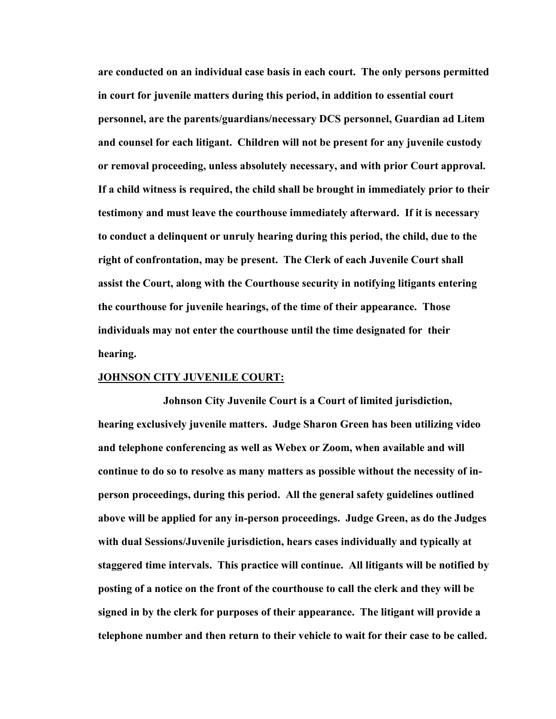**are conducted on an individual case basis in each court. The only persons permitted in court for juvenile matters during this period, in addition to essential court personnel, are the parents/guardians/necessary DCS personnel, Guardian ad Litem and counsel for each litigant. Children will not be present for any juvenile custody or removal proceeding, unless absolutely necessary, and with prior Court approval. If a child witness is required, the child shall be brought in immediately prior to their testimony and must leave the courthouse immediately afterward. If it is necessary to conduct a delinquent or unruly hearing during this period, the child, due to the right of confrontation, may be present. The Clerk of each Juvenile Court shall assist the Court, along with the Courthouse security in notifying litigants entering the courthouse for juvenile hearings, of the time of their appearance. Those individuals may not enter the courthouse until the time designated for their hearing.**

#### **JOHNSON CITY JUVENILE COURT:**

**Johnson City Juvenile Court is a Court of limited jurisdiction, hearing exclusively juvenile matters. Judge Sharon Green has been utilizing video and telephone conferencing as well as Webex or Zoom, when available and will continue to do so to resolve as many matters as possible without the necessity of inperson proceedings, during this period. All the general safety guidelines outlined above will be applied for any in-person proceedings. Judge Green, as do the Judges with dual Sessions/Juvenile jurisdiction, hears cases individually and typically at staggered time intervals. This practice will continue. All litigants will be notified by posting of a notice on the front of the courthouse to call the clerk and they will be signed in by the clerk for purposes of their appearance. The litigant will provide a telephone number and then return to their vehicle to wait for their case to be called.**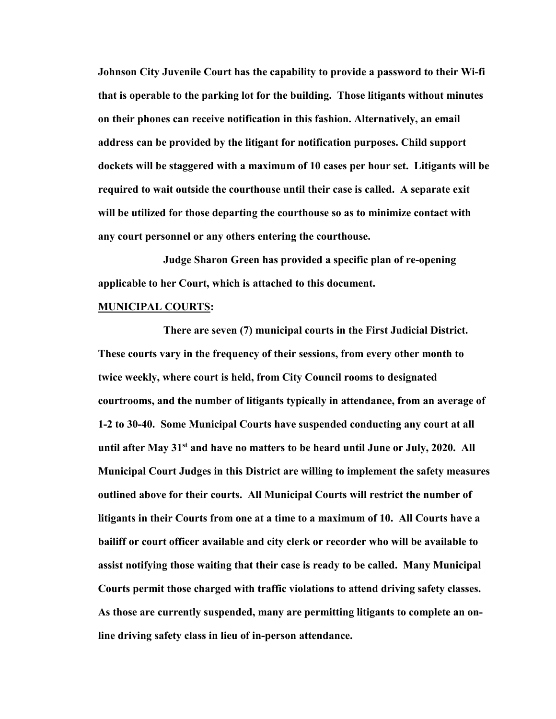**Johnson City Juvenile Court has the capability to provide a password to their Wi-fi that is operable to the parking lot for the building. Those litigants without minutes on their phones can receive notification in this fashion. Alternatively, an email address can be provided by the litigant for notification purposes. Child support dockets will be staggered with a maximum of 10 cases per hour set. Litigants will be required to wait outside the courthouse until their case is called. A separate exit will be utilized for those departing the courthouse so as to minimize contact with any court personnel or any others entering the courthouse.**

**Judge Sharon Green has provided a specific plan of re-opening applicable to her Court, which is attached to this document.**

### **MUNICIPAL COURTS:**

**There are seven (7) municipal courts in the First Judicial District. These courts vary in the frequency of their sessions, from every other month to twice weekly, where court is held, from City Council rooms to designated courtrooms, and the number of litigants typically in attendance, from an average of 1-2 to 30-40. Some Municipal Courts have suspended conducting any court at all until after May 31st and have no matters to be heard until June or July, 2020. All Municipal Court Judges in this District are willing to implement the safety measures outlined above for their courts. All Municipal Courts will restrict the number of litigants in their Courts from one at a time to a maximum of 10. All Courts have a bailiff or court officer available and city clerk or recorder who will be available to assist notifying those waiting that their case is ready to be called. Many Municipal Courts permit those charged with traffic violations to attend driving safety classes. As those are currently suspended, many are permitting litigants to complete an online driving safety class in lieu of in-person attendance.**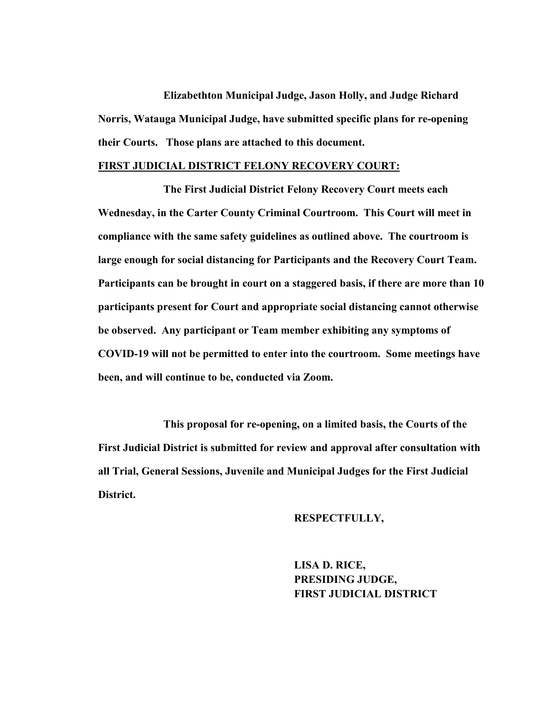**Elizabethton Municipal Judge, Jason Holly, and Judge Richard Norris, Watauga Municipal Judge, have submitted specific plans for re-opening their Courts. Those plans are attached to this document.**

### **FIRST JUDICIAL DISTRICT FELONY RECOVERY COURT:**

**The First Judicial District Felony Recovery Court meets each Wednesday, in the Carter County Criminal Courtroom. This Court will meet in compliance with the same safety guidelines as outlined above. The courtroom is large enough for social distancing for Participants and the Recovery Court Team. Participants can be brought in court on a staggered basis, if there are more than 10 participants present for Court and appropriate social distancing cannot otherwise be observed. Any participant or Team member exhibiting any symptoms of COVID-19 will not be permitted to enter into the courtroom. Some meetings have been, and will continue to be, conducted via Zoom.**

**This proposal for re-opening, on a limited basis, the Courts of the First Judicial District is submitted for review and approval after consultation with all Trial, General Sessions, Juvenile and Municipal Judges for the First Judicial District.**

### **RESPECTFULLY,**

**LISA D. RICE, PRESIDING JUDGE, FIRST JUDICIAL DISTRICT**